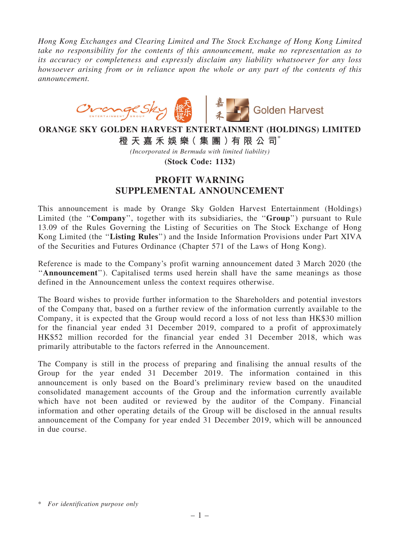Hong Kong Exchanges and Clearing Limited and The Stock Exchange of Hong Kong Limited take no responsibility for the contents of this announcement, make no representation as to its accuracy or completeness and expressly disclaim any liability whatsoever for any loss howsoever arising from or in reliance upon the whole or any part of the contents of this announcement.



## ORANGE SKY GOLDEN HARVEST ENTERTAINMENT (HOLDINGS) LIMITED 橙 天 嘉 禾 娛 樂 (集 團 ) 有 限 公 司 $^*$

(Incorporated in Bermuda with limited liability)

(Stock Code: 1132)

## PROFIT WARNING SUPPLEMENTAL ANNOUNCEMENT

This announcement is made by Orange Sky Golden Harvest Entertainment (Holdings) Limited (the "Company", together with its subsidiaries, the "Group") pursuant to Rule 13.09 of the Rules Governing the Listing of Securities on The Stock Exchange of Hong Kong Limited (the "Listing Rules") and the Inside Information Provisions under Part XIVA of the Securities and Futures Ordinance (Chapter 571 of the Laws of Hong Kong).

Reference is made to the Company's profit warning announcement dated 3 March 2020 (the ''Announcement''). Capitalised terms used herein shall have the same meanings as those defined in the Announcement unless the context requires otherwise.

The Board wishes to provide further information to the Shareholders and potential investors of the Company that, based on a further review of the information currently available to the Company, it is expected that the Group would record a loss of not less than HK\$30 million for the financial year ended 31 December 2019, compared to a profit of approximately HK\$52 million recorded for the financial year ended 31 December 2018, which was primarily attributable to the factors referred in the Announcement.

The Company is still in the process of preparing and finalising the annual results of the Group for the year ended 31 December 2019. The information contained in this announcement is only based on the Board's preliminary review based on the unaudited consolidated management accounts of the Group and the information currently available which have not been audited or reviewed by the auditor of the Company. Financial information and other operating details of the Group will be disclosed in the annual results announcement of the Company for year ended 31 December 2019, which will be announced in due course.

<sup>\*</sup> For identification purpose only